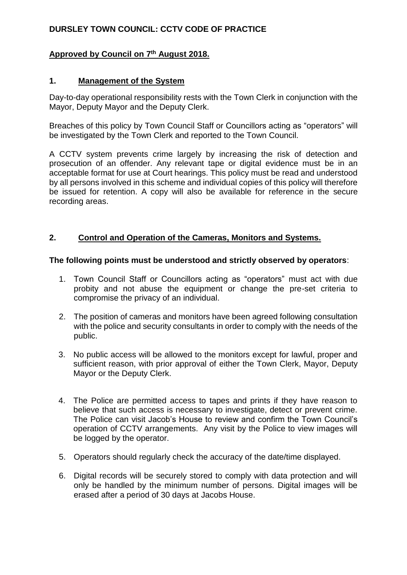# **DURSLEY TOWN COUNCIL: CCTV CODE OF PRACTICE**

## **Approved by Council on 7 th August 2018.**

#### **1. Management of the System**

Day-to-day operational responsibility rests with the Town Clerk in conjunction with the Mayor, Deputy Mayor and the Deputy Clerk.

Breaches of this policy by Town Council Staff or Councillors acting as "operators" will be investigated by the Town Clerk and reported to the Town Council.

A CCTV system prevents crime largely by increasing the risk of detection and prosecution of an offender. Any relevant tape or digital evidence must be in an acceptable format for use at Court hearings. This policy must be read and understood by all persons involved in this scheme and individual copies of this policy will therefore be issued for retention. A copy will also be available for reference in the secure recording areas.

# **2. Control and Operation of the Cameras, Monitors and Systems.**

#### **The following points must be understood and strictly observed by operators**:

- 1. Town Council Staff or Councillors acting as "operators" must act with due probity and not abuse the equipment or change the pre-set criteria to compromise the privacy of an individual.
- 2. The position of cameras and monitors have been agreed following consultation with the police and security consultants in order to comply with the needs of the public.
- 3. No public access will be allowed to the monitors except for lawful, proper and sufficient reason, with prior approval of either the Town Clerk, Mayor, Deputy Mayor or the Deputy Clerk.
- 4. The Police are permitted access to tapes and prints if they have reason to believe that such access is necessary to investigate, detect or prevent crime. The Police can visit Jacob's House to review and confirm the Town Council's operation of CCTV arrangements. Any visit by the Police to view images will be logged by the operator.
- 5. Operators should regularly check the accuracy of the date/time displayed.
- 6. Digital records will be securely stored to comply with data protection and will only be handled by the minimum number of persons. Digital images will be erased after a period of 30 days at Jacobs House.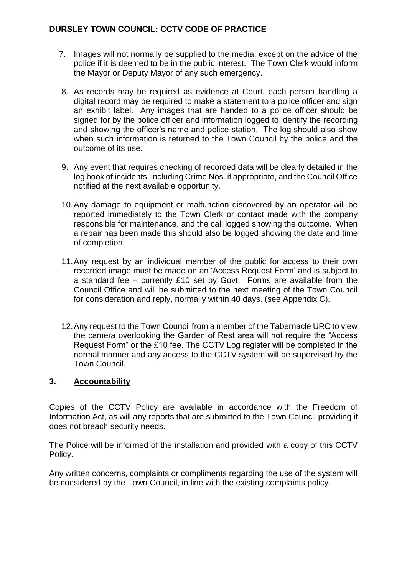## **DURSLEY TOWN COUNCIL: CCTV CODE OF PRACTICE**

- 7. Images will not normally be supplied to the media, except on the advice of the police if it is deemed to be in the public interest. The Town Clerk would inform the Mayor or Deputy Mayor of any such emergency.
- 8. As records may be required as evidence at Court, each person handling a digital record may be required to make a statement to a police officer and sign an exhibit label. Any images that are handed to a police officer should be signed for by the police officer and information logged to identify the recording and showing the officer's name and police station. The log should also show when such information is returned to the Town Council by the police and the outcome of its use.
- 9. Any event that requires checking of recorded data will be clearly detailed in the log book of incidents, including Crime Nos. if appropriate, and the Council Office notified at the next available opportunity.
- 10.Any damage to equipment or malfunction discovered by an operator will be reported immediately to the Town Clerk or contact made with the company responsible for maintenance, and the call logged showing the outcome. When a repair has been made this should also be logged showing the date and time of completion.
- 11.Any request by an individual member of the public for access to their own recorded image must be made on an 'Access Request Form' and is subject to a standard fee – currently £10 set by Govt. Forms are available from the Council Office and will be submitted to the next meeting of the Town Council for consideration and reply, normally within 40 days. (see Appendix C).
- 12.Any request to the Town Council from a member of the Tabernacle URC to view the camera overlooking the Garden of Rest area will not require the "Access Request Form" or the £10 fee. The CCTV Log register will be completed in the normal manner and any access to the CCTV system will be supervised by the Town Council.

## **3. Accountability**

Copies of the CCTV Policy are available in accordance with the Freedom of Information Act, as will any reports that are submitted to the Town Council providing it does not breach security needs.

The Police will be informed of the installation and provided with a copy of this CCTV Policy.

Any written concerns, complaints or compliments regarding the use of the system will be considered by the Town Council, in line with the existing complaints policy.